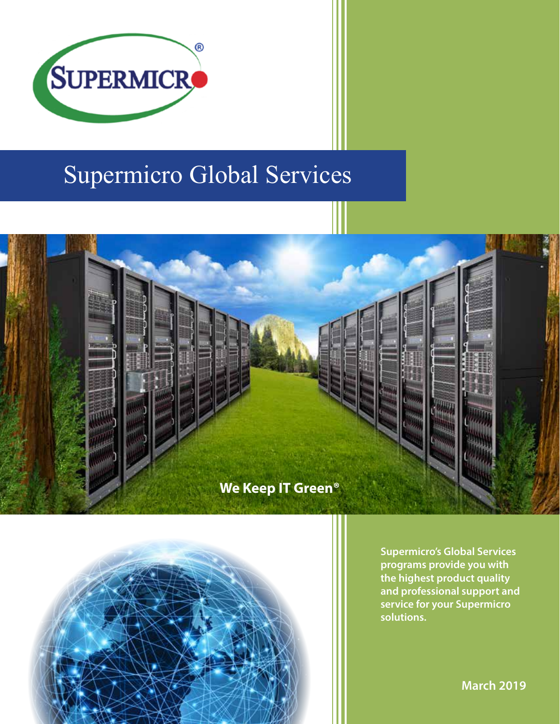

# Supermicro Global Services





**Supermicro's Global Services programs provide you with the highest product quality and professional support and service for your Supermicro solutions.**

**March 2019**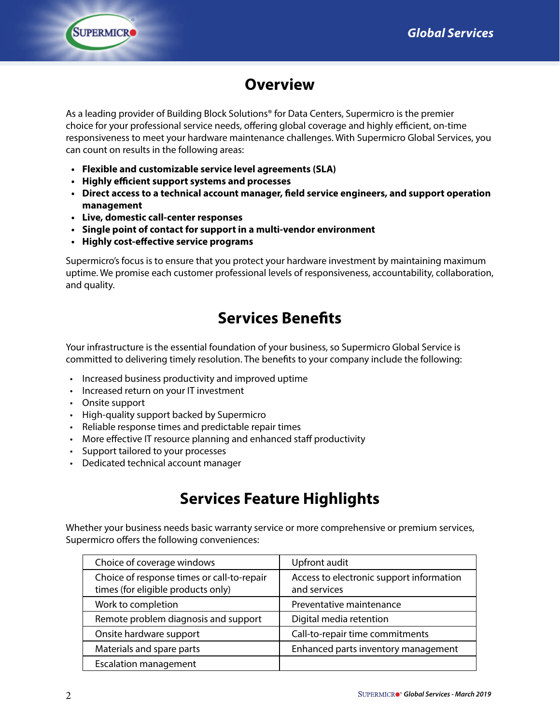

# **Overview**

As a leading provider of Building Block Solutions® for Data Centers, Supermicro is the premier choice for your professional service needs, offering global coverage and highly efficient, on-time responsiveness to meet your hardware maintenance challenges. With Supermicro Global Services, you can count on results in the following areas:

- **• Flexible and customizable service level agreements (SLA)**
- **• Highly efficient support systems and processes**
- **• Direct access to a technical account manager, field service engineers, and support operation management**
- **• Live, domestic call-center responses**
- **• Single point of contact for support in a multi-vendor environment**
- **• Highly cost-effective service programs**

Supermicro's focus is to ensure that you protect your hardware investment by maintaining maximum uptime. We promise each customer professional levels of responsiveness, accountability, collaboration, and quality.

# **Services Benefits**

Your infrastructure is the essential foundation of your business, so Supermicro Global Service is committed to delivering timely resolution. The benefits to your company include the following:

- Increased business productivity and improved uptime
- Increased return on your IT investment
- Onsite support
- High-quality support backed by Supermicro
- Reliable response times and predictable repair times
- More effective IT resource planning and enhanced staff productivity
- Support tailored to your processes
- Dedicated technical account manager

## **Services Feature Highlights**

Whether your business needs basic warranty service or more comprehensive or premium services, Supermicro offers the following conveniences:

| Choice of coverage windows                                                       | Upfront audit                                            |
|----------------------------------------------------------------------------------|----------------------------------------------------------|
| Choice of response times or call-to-repair<br>times (for eligible products only) | Access to electronic support information<br>and services |
| Work to completion                                                               | Preventative maintenance                                 |
| Remote problem diagnosis and support                                             | Digital media retention                                  |
| Onsite hardware support                                                          | Call-to-repair time commitments                          |
| Materials and spare parts                                                        | Enhanced parts inventory management                      |
| <b>Escalation management</b>                                                     |                                                          |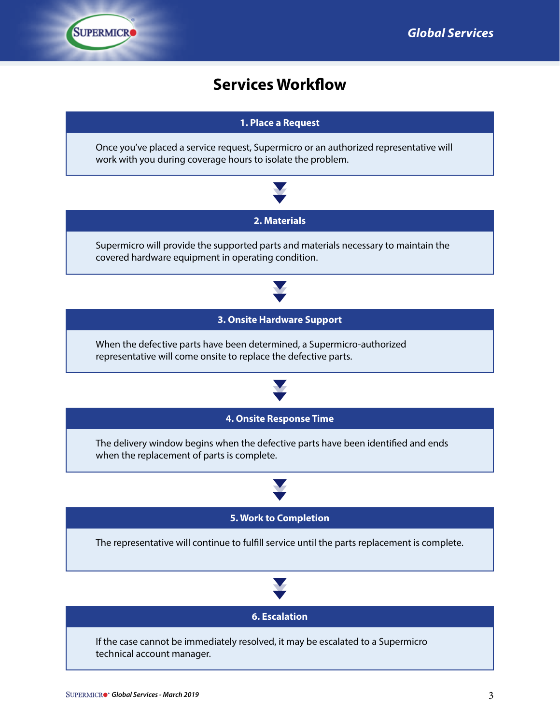### **Services Workflow**

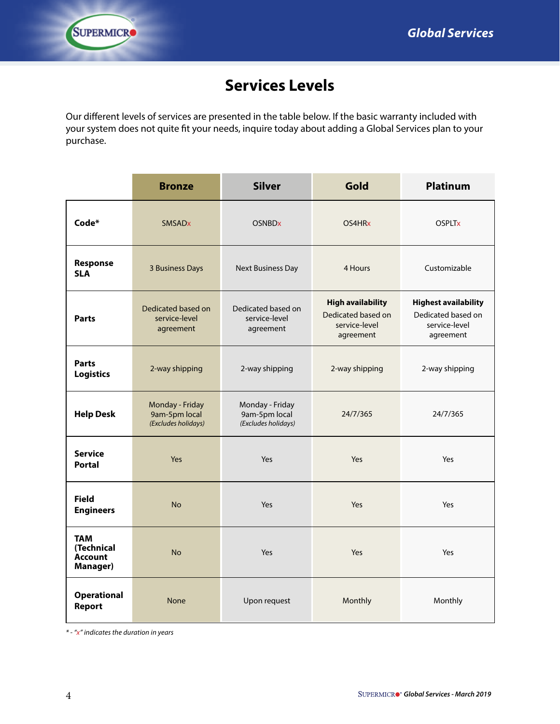

# **Services Levels**

Our different levels of services are presented in the table below. If the basic warranty included with your system does not quite fit your needs, inquire today about adding a Global Services plan to your purchase.

|                                                               | <b>Bronze</b>                                           | <b>Silver</b>                                           | Gold                                                                         | <b>Platinum</b>                                                                 |
|---------------------------------------------------------------|---------------------------------------------------------|---------------------------------------------------------|------------------------------------------------------------------------------|---------------------------------------------------------------------------------|
| Code*                                                         | <b>SMSAD<sub>x</sub></b>                                | <b>OSNBDx</b>                                           | OS4HR <sub>x</sub>                                                           | <b>OSPLTx</b>                                                                   |
| Response<br><b>SLA</b>                                        | 3 Business Days                                         | <b>Next Business Day</b>                                | 4 Hours                                                                      | Customizable                                                                    |
| <b>Parts</b>                                                  | Dedicated based on<br>service-level<br>agreement        | Dedicated based on<br>service-level<br>agreement        | <b>High availability</b><br>Dedicated based on<br>service-level<br>agreement | <b>Highest availability</b><br>Dedicated based on<br>service-level<br>agreement |
| <b>Parts</b><br><b>Logistics</b>                              | 2-way shipping                                          | 2-way shipping                                          | 2-way shipping                                                               | 2-way shipping                                                                  |
| <b>Help Desk</b>                                              | Monday - Friday<br>9am-5pm local<br>(Excludes holidays) | Monday - Friday<br>9am-5pm local<br>(Excludes holidays) | 24/7/365                                                                     | 24/7/365                                                                        |
| <b>Service</b><br><b>Portal</b>                               | Yes                                                     | Yes                                                     | Yes                                                                          | Yes                                                                             |
| <b>Field</b><br><b>Engineers</b>                              | <b>No</b>                                               | Yes                                                     | Yes                                                                          | Yes                                                                             |
| <b>TAM</b><br>(Technical<br><b>Account</b><br><b>Manager)</b> | <b>No</b>                                               | Yes                                                     | Yes                                                                          | Yes                                                                             |
| <b>Operational</b><br>Report                                  | <b>None</b>                                             | Upon request                                            | Monthly                                                                      | Monthly                                                                         |

*\* - "x" indicates the duration in years*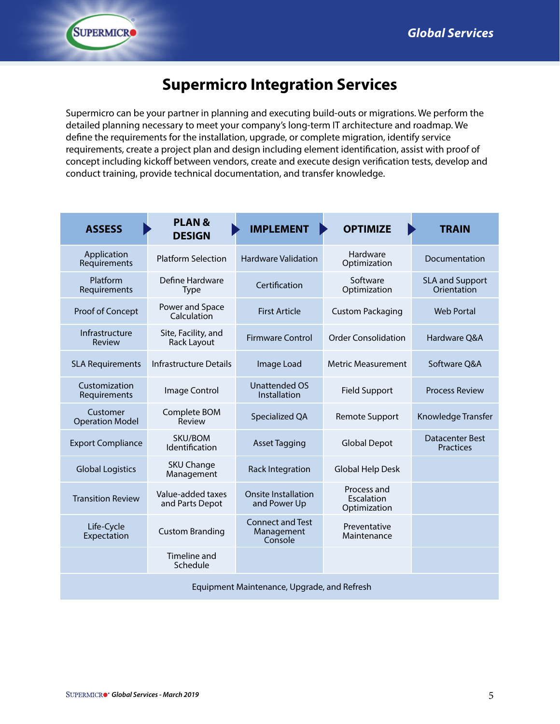## **Supermicro Integration Services**

Supermicro can be your partner in planning and executing build-outs or migrations. We perform the detailed planning necessary to meet your company's long-term IT architecture and roadmap. We define the requirements for the installation, upgrade, or complete migration, identify service requirements, create a project plan and design including element identification, assist with proof of concept including kickoff between vendors, create and execute design verification tests, develop and conduct training, provide technical documentation, and transfer knowledge.

| <b>ASSESS</b>                      | <b>PLAN &amp;</b><br><b>DESIGN</b>   | <b>IMPLEMENT</b>                                 | <b>OPTIMIZE</b>                           | <b>TRAIN</b>                          |
|------------------------------------|--------------------------------------|--------------------------------------------------|-------------------------------------------|---------------------------------------|
| Application<br>Requirements        | <b>Platform Selection</b>            | <b>Hardware Validation</b>                       | Hardware<br>Optimization                  | Documentation                         |
| Platform<br>Requirements           | Define Hardware<br><b>Type</b>       | Certification                                    | Software<br>Optimization                  | <b>SLA and Support</b><br>Orientation |
| Proof of Concept                   | Power and Space<br>Calculation       | <b>First Article</b>                             | <b>Custom Packaging</b>                   | <b>Web Portal</b>                     |
| Infrastructure<br>Review           | Site, Facility, and<br>Rack Layout   | <b>Firmware Control</b>                          | <b>Order Consolidation</b>                | Hardware Q&A                          |
| <b>SLA Requirements</b>            | <b>Infrastructure Details</b>        | Image Load                                       | <b>Metric Measurement</b>                 | Software Q&A                          |
| Customization<br>Requirements      | Image Control                        | <b>Unattended OS</b><br>Installation             | <b>Field Support</b>                      | <b>Process Review</b>                 |
| Customer<br><b>Operation Model</b> | Complete BOM<br>Review               | Specialized QA                                   | <b>Remote Support</b>                     | Knowledge Transfer                    |
| <b>Export Compliance</b>           | SKU/BOM<br>Identification            | <b>Asset Tagging</b>                             | <b>Global Depot</b>                       | Datacenter Best<br><b>Practices</b>   |
| <b>Global Logistics</b>            | <b>SKU Change</b><br>Management      | <b>Rack Integration</b>                          | <b>Global Help Desk</b>                   |                                       |
| <b>Transition Review</b>           | Value-added taxes<br>and Parts Depot | Onsite Installation<br>and Power Up              | Process and<br>Escalation<br>Optimization |                                       |
| Life-Cycle<br>Expectation          | <b>Custom Branding</b>               | <b>Connect and Test</b><br>Management<br>Console | Preventative<br>Maintenance               |                                       |
|                                    | Timeline and<br>Schedule             |                                                  |                                           |                                       |
|                                    |                                      | Equipment Maintenance, Upgrade, and Refresh      |                                           |                                       |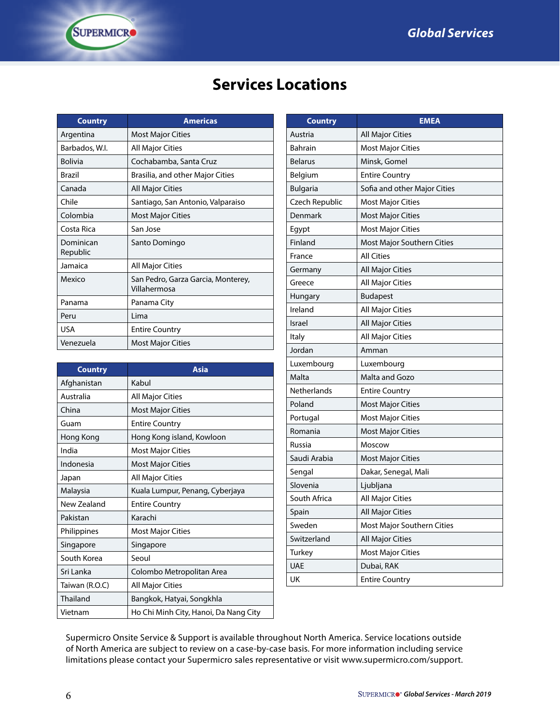# **Services Locations**

| <b>Country</b>        | <b>Americas</b>                                    |
|-----------------------|----------------------------------------------------|
| Argentina             | <b>Most Major Cities</b>                           |
| Barbados, W.I.        | All Major Cities                                   |
| <b>Bolivia</b>        | Cochabamba, Santa Cruz                             |
| Brazil                | Brasilia, and other Major Cities                   |
| Canada                | All Major Cities                                   |
| Chile                 | Santiago, San Antonio, Valparaiso                  |
| Colombia              | <b>Most Major Cities</b>                           |
| Costa Rica            | San Jose                                           |
| Dominican<br>Republic | Santo Domingo                                      |
| Jamaica               | All Major Cities                                   |
| Mexico                | San Pedro, Garza Garcia, Monterey,<br>Villahermosa |
| Panama                | Panama City                                        |
| Peru                  | Lima                                               |
| <b>USA</b>            | <b>Entire Country</b>                              |
| Venezuela             | <b>Most Major Cities</b>                           |

**SUPERMICRO** 

| <b>Country</b> | <b>Asia</b>                           |
|----------------|---------------------------------------|
| Afghanistan    | Kabul                                 |
| Australia      | <b>All Major Cities</b>               |
| China          | <b>Most Major Cities</b>              |
| Guam           | <b>Entire Country</b>                 |
| Hong Kong      | Hong Kong island, Kowloon             |
| India          | <b>Most Major Cities</b>              |
| Indonesia      | <b>Most Major Cities</b>              |
| Japan          | <b>All Major Cities</b>               |
| Malaysia       | Kuala Lumpur, Penang, Cyberjaya       |
| New Zealand    | <b>Entire Country</b>                 |
| Pakistan       | Karachi                               |
| Philippines    | <b>Most Major Cities</b>              |
| Singapore      | Singapore                             |
| South Korea    | Seoul                                 |
| Sri Lanka      | Colombo Metropolitan Area             |
| Taiwan (R.O.C) | All Major Cities                      |
| Thailand       | Bangkok, Hatyai, Songkhla             |
| Vietnam        | Ho Chi Minh City, Hanoi, Da Nang City |

| <b>Country</b>  | <b>EMEA</b>                  |
|-----------------|------------------------------|
| Austria         | All Major Cities             |
| <b>Bahrain</b>  | <b>Most Major Cities</b>     |
| <b>Belarus</b>  | Minsk, Gomel                 |
| Belgium         | <b>Entire Country</b>        |
| <b>Bulgaria</b> | Sofia and other Major Cities |
| Czech Republic  | <b>Most Major Cities</b>     |
| Denmark         | <b>Most Major Cities</b>     |
| Egypt           | <b>Most Major Cities</b>     |
| Finland         | Most Major Southern Cities   |
| France          | <b>All Cities</b>            |
| Germany         | <b>All Major Cities</b>      |
| Greece          | All Major Cities             |
| Hungary         | <b>Budapest</b>              |
| Ireland         | <b>All Major Cities</b>      |
| <b>Israel</b>   | <b>All Major Cities</b>      |
| Italy           | All Major Cities             |
| Jordan          | Amman                        |
| Luxembourg      | Luxembourg                   |
| Malta           | Malta and Gozo               |
| Netherlands     | <b>Entire Country</b>        |
| Poland          | <b>Most Major Cities</b>     |
| Portugal        | <b>Most Major Cities</b>     |
| Romania         | <b>Most Major Cities</b>     |
| Russia          | Moscow                       |
| Saudi Arabia    | <b>Most Major Cities</b>     |
| Sengal          | Dakar, Senegal, Mali         |
| Slovenia        | Ljubljana                    |
| South Africa    | All Major Cities             |
| Spain           | <b>All Major Cities</b>      |
| Sweden          | Most Major Southern Cities   |
| Switzerland     | <b>All Major Cities</b>      |
| Turkey          | <b>Most Major Cities</b>     |
| <b>UAE</b>      | Dubai, RAK                   |
| UK              | <b>Entire Country</b>        |

Supermicro Onsite Service & Support is available throughout North America. Service locations outside of North America are subject to review on a case-by-case basis. For more information including service limitations please contact your Supermicro sales representative or visit www.supermicro.com/support.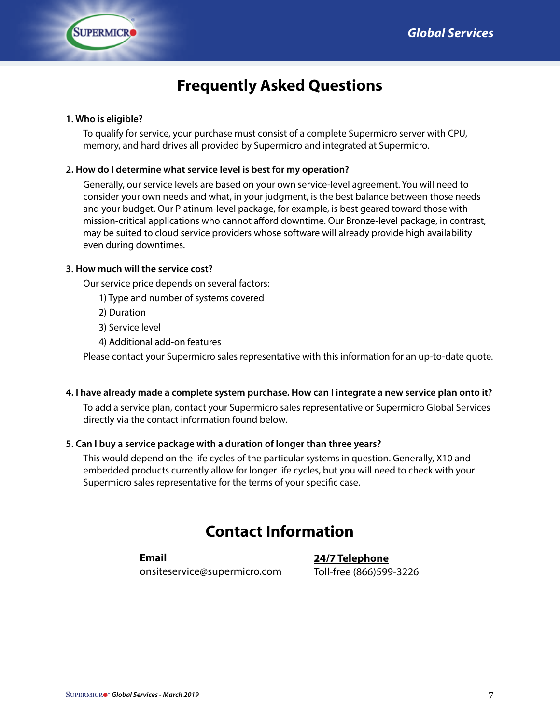

# **Frequently Asked Questions**

#### **1. Who is eligible?**

To qualify for service, your purchase must consist of a complete Supermicro server with CPU, memory, and hard drives all provided by Supermicro and integrated at Supermicro.

#### **2. How do I determine what service level is best for my operation?**

Generally, our service levels are based on your own service-level agreement. You will need to consider your own needs and what, in your judgment, is the best balance between those needs and your budget. Our Platinum-level package, for example, is best geared toward those with mission-critical applications who cannot afford downtime. Our Bronze-level package, in contrast, may be suited to cloud service providers whose software will already provide high availability even during downtimes.

#### **3. How much will the service cost?**

Our service price depends on several factors:

1) Type and number of systems covered

- 2) Duration
- 3) Service level
- 4) Additional add-on features

Please contact your Supermicro sales representative with this information for an up-to-date quote.

#### **4. I have already made a complete system purchase. How can I integrate a new service plan onto it?**

To add a service plan, contact your Supermicro sales representative or Supermicro Global Services directly via the contact information found below.

#### **5. Can I buy a service package with a duration of longer than three years?**

This would depend on the life cycles of the particular systems in question. Generally, X10 and embedded products currently allow for longer life cycles, but you will need to check with your Supermicro sales representative for the terms of your specific case.

### **Contact Information**

#### **Email**

onsiteservice@supermicro.com

**24/7 Telephone** Toll-free (866)599-3226